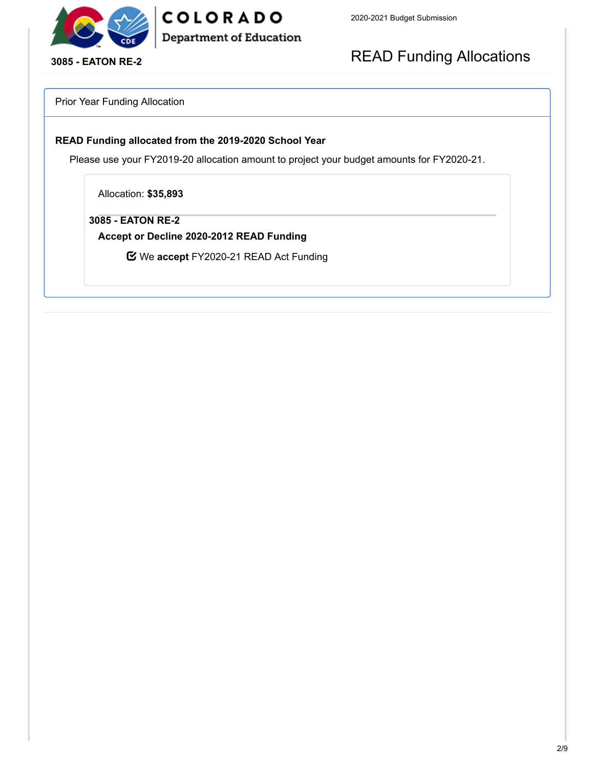

COLORADO **Department of Education** 

**3085 - EATON RE-2**

# READ Funding Allocations

Prior Year Funding Allocation

#### **READ Funding allocated from the 2019-2020 School Year**

Please use your FY2019-20 allocation amount to project your budget amounts for FY2020-21.

Allocation: **\$35,893**

**3085 - EATON RE-2**

**Accept or Decline 2020-2012 READ Funding**

We **accept** FY2020-21 READ Act Funding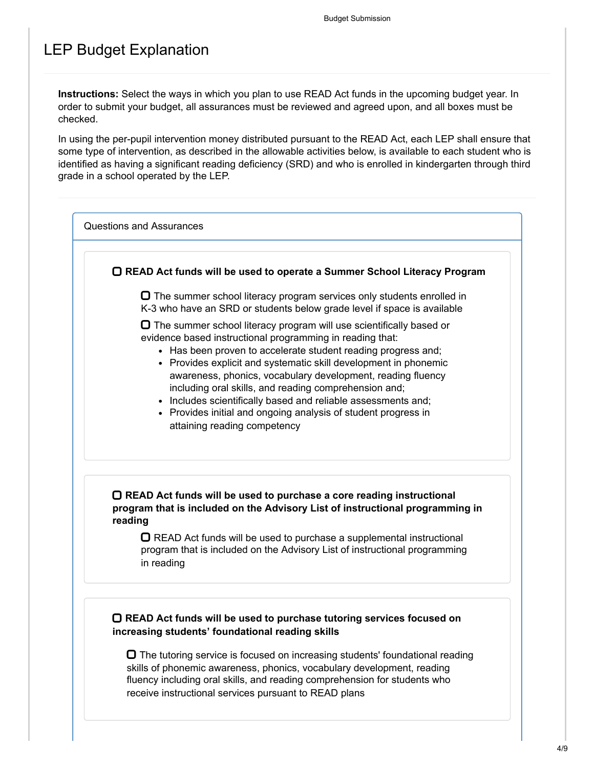## LEP Budget Explanation

**Instructions:** Select the ways in which you plan to use READ Act funds in the upcoming budget year. In order to submit your budget, all assurances must be reviewed and agreed upon, and all boxes must be checked.

In using the per-pupil intervention money distributed pursuant to the READ Act, each LEP shall ensure that some type of intervention, as described in the allowable activities below, is available to each student who is identified as having a significant reading deficiency (SRD) and who is enrolled in kindergarten through third grade in a school operated by the LEP.

Questions and Assurances

**READ Act funds will be used to operate a Summer School Literacy Program**

 $\Box$  The summer school literacy program services only students enrolled in K-3 who have an SRD or students below grade level if space is available

 $\Box$  The summer school literacy program will use scientifically based or evidence based instructional programming in reading that:

- Has been proven to accelerate student reading progress and;
- Provides explicit and systematic skill development in phonemic awareness, phonics, vocabulary development, reading fluency including oral skills, and reading comprehension and;
- Includes scientifically based and reliable assessments and;
- Provides initial and ongoing analysis of student progress in attaining reading competency

### **READ Act funds will be used to purchase a core reading instructional program that is included on the Advisory List of instructional programming in reading**

 $\Box$  READ Act funds will be used to purchase a supplemental instructional program that is included on the Advisory List of instructional programming in reading

### **READ Act funds will be used to purchase tutoring services focused on increasing students' foundational reading skills**

 $\Box$  The tutoring service is focused on increasing students' foundational reading skills of phonemic awareness, phonics, vocabulary development, reading fluency including oral skills, and reading comprehension for students who receive instructional services pursuant to READ plans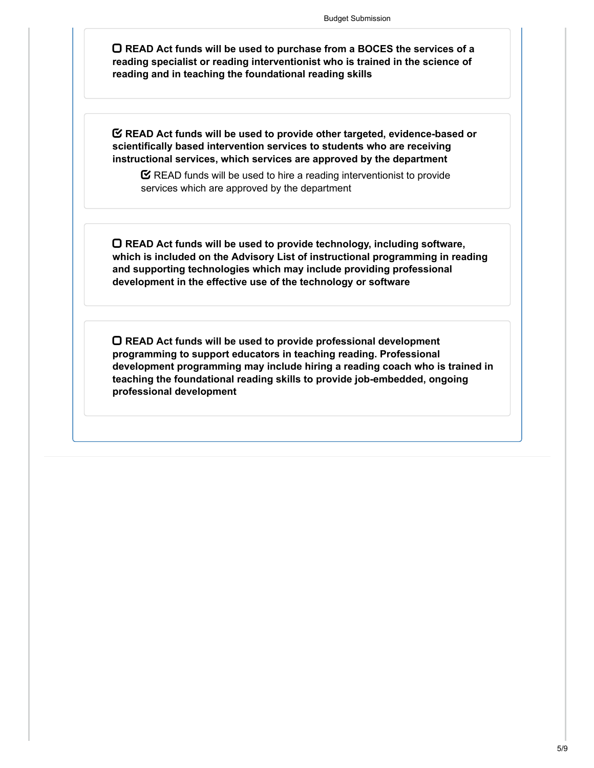**READ Act funds will be used to purchase from a BOCES the services of a reading specialist or reading interventionist who is trained in the science of reading and in teaching the foundational reading skills**

**READ Act funds will be used to provide other targeted, evidence-based or scientifically based intervention services to students who are receiving instructional services, which services are approved by the department**

 $\mathbf C$  READ funds will be used to hire a reading interventionist to provide services which are approved by the department

**READ Act funds will be used to provide technology, including software, which is included on the Advisory List of instructional programming in reading and supporting technologies which may include providing professional development in the effective use of the technology or software**

**READ Act funds will be used to provide professional development programming to support educators in teaching reading. Professional development programming may include hiring a reading coach who is trained in teaching the foundational reading skills to provide job-embedded, ongoing professional development**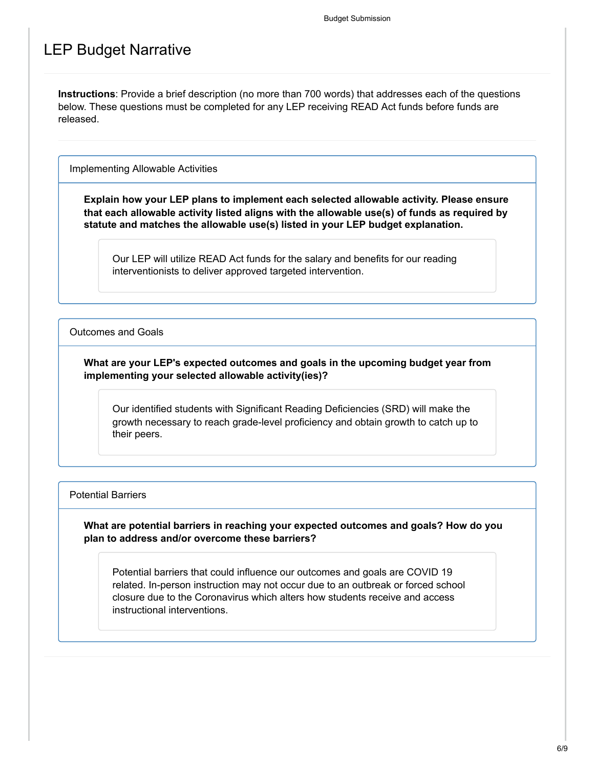### LEP Budget Narrative

**Instructions**: Provide a brief description (no more than 700 words) that addresses each of the questions below. These questions must be completed for any LEP receiving READ Act funds before funds are released.

Implementing Allowable Activities

**Explain how your LEP plans to implement each selected allowable activity. Please ensure that each allowable activity listed aligns with the allowable use(s) of funds as required by statute and matches the allowable use(s) listed in your LEP budget explanation.**

Our LEP will utilize READ Act funds for the salary and benefits for our reading interventionists to deliver approved targeted intervention.

Outcomes and Goals

**What are your LEP's expected outcomes and goals in the upcoming budget year from implementing your selected allowable activity(ies)?**

Our identified students with Significant Reading Deficiencies (SRD) will make the growth necessary to reach grade-level proficiency and obtain growth to catch up to their peers.

#### Potential Barriers

**What are potential barriers in reaching your expected outcomes and goals? How do you plan to address and/or overcome these barriers?**

Potential barriers that could influence our outcomes and goals are COVID 19 related. In-person instruction may not occur due to an outbreak or forced school closure due to the Coronavirus which alters how students receive and access instructional interventions.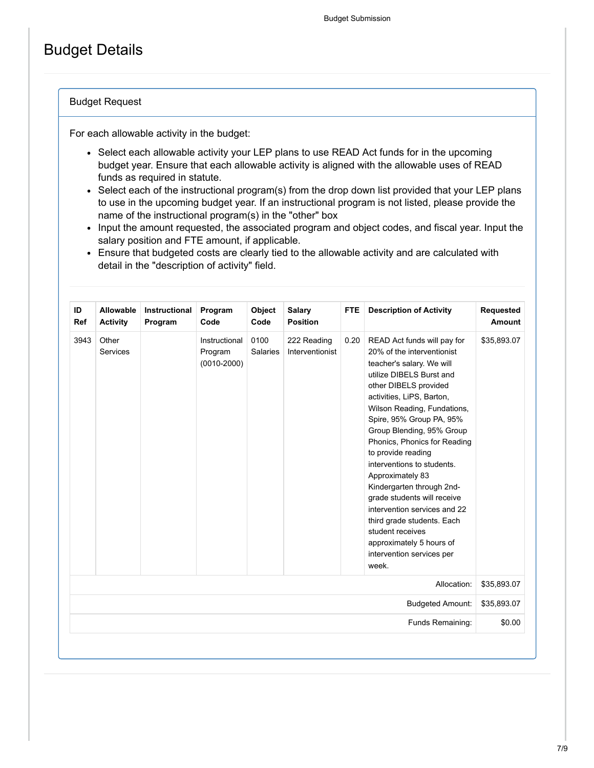## Budget Details

#### Budget Request

For each allowable activity in the budget:

- Select each allowable activity your LEP plans to use READ Act funds for in the upcoming budget year. Ensure that each allowable activity is aligned with the allowable uses of READ funds as required in statute.
- Select each of the instructional program(s) from the drop down list provided that your LEP plans to use in the upcoming budget year. If an instructional program is not listed, please provide the name of the instructional program(s) in the "other" box
- Input the amount requested, the associated program and object codes, and fiscal year. Input the salary position and FTE amount, if applicable.
- Ensure that budgeted costs are clearly tied to the allowable activity and are calculated with detail in the "description of activity" field.

| ID<br>Ref | Allowable<br><b>Activity</b> | Instructional<br>Program | Program<br>Code                             | Object<br>Code          | <b>Salary</b><br><b>Position</b> | <b>FTE</b> | <b>Description of Activity</b>                                                                                                                                                                                                                                                                                                                                                                                                                                                                                                                                                           | Requested<br><b>Amount</b> |
|-----------|------------------------------|--------------------------|---------------------------------------------|-------------------------|----------------------------------|------------|------------------------------------------------------------------------------------------------------------------------------------------------------------------------------------------------------------------------------------------------------------------------------------------------------------------------------------------------------------------------------------------------------------------------------------------------------------------------------------------------------------------------------------------------------------------------------------------|----------------------------|
| 3943      | Other<br><b>Services</b>     |                          | Instructional<br>Program<br>$(0010 - 2000)$ | 0100<br><b>Salaries</b> | 222 Reading<br>Interventionist   | 0.20       | READ Act funds will pay for<br>20% of the interventionist<br>teacher's salary. We will<br>utilize DIBELS Burst and<br>other DIBELS provided<br>activities, LiPS, Barton,<br>Wilson Reading, Fundations,<br>Spire, 95% Group PA, 95%<br>Group Blending, 95% Group<br>Phonics, Phonics for Reading<br>to provide reading<br>interventions to students.<br>Approximately 83<br>Kindergarten through 2nd-<br>grade students will receive<br>intervention services and 22<br>third grade students. Each<br>student receives<br>approximately 5 hours of<br>intervention services per<br>week. | \$35,893.07                |
|           |                              |                          |                                             |                         |                                  |            | Allocation:                                                                                                                                                                                                                                                                                                                                                                                                                                                                                                                                                                              | \$35,893.07                |
|           |                              |                          |                                             |                         |                                  |            | <b>Budgeted Amount:</b>                                                                                                                                                                                                                                                                                                                                                                                                                                                                                                                                                                  | \$35,893.07                |
|           |                              |                          |                                             |                         |                                  |            | Funds Remaining:                                                                                                                                                                                                                                                                                                                                                                                                                                                                                                                                                                         | \$0.00                     |